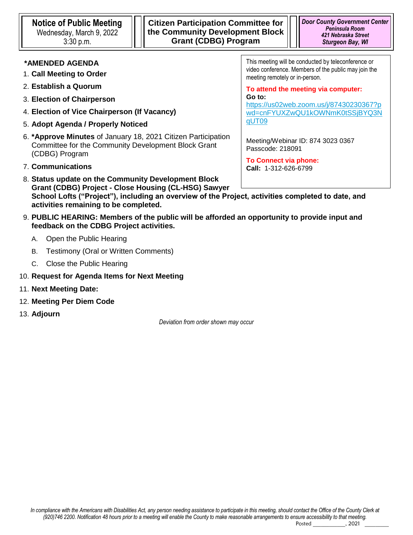# **\*AMENDED AGENDA**

- 1. **Call Meeting to Order**
- 2. **Establish a Quorum**
- 3. **Election of Chairperson**
- 4. **Election of Vice Chairperson (If Vacancy)**
- 5. **Adopt Agenda / Properly Noticed**
- 6. **\*Approve Minutes** of January 18, 2021 Citizen Participation Committee for the Community Development Block Grant (CDBG) Program
- 7. **Communications**
- 8. **Status update on the Community Development Block Grant (CDBG) Project - Close Housing (CL-HSG) Sawyer School Lofts ("Project"), including an overview of the Project, activities completed to date, and activities remaining to be completed.**
- 9. **PUBLIC HEARING: Members of the public will be afforded an opportunity to provide input and feedback on the CDBG Project activities.** 
	- A. Open the Public Hearing
	- B. Testimony (Oral or Written Comments)
	- C. Close the Public Hearing
- 10. **Request for Agenda Items for Next Meeting**
- 11. **Next Meeting Date:**
- 12. **Meeting Per Diem Code**
- 13. **Adjourn**

*Deviation from order shown may occur*

This meeting will be conducted by teleconference or video conference. Members of the public may join the meeting remotely or in-person.

**To attend the meeting via computer: Go to:**

[https://us02web.zoom.us/j/87430230367?p](https://doorcounty.webex.com/doorcounty/onstage/g.php?MTID=e439cb66fdd3a1010c41e7465bfb438dd) [wd=cnFYUXZwQU1kOWNmK0tSSjBYQ3N](https://doorcounty.webex.com/doorcounty/onstage/g.php?MTID=e439cb66fdd3a1010c41e7465bfb438dd) [qUT09](https://doorcounty.webex.com/doorcounty/onstage/g.php?MTID=e439cb66fdd3a1010c41e7465bfb438dd)

Meeting/Webinar ID: 874 3023 0367 Passcode: 218091

**To Connect via phone: Call:** 1-312-626-6799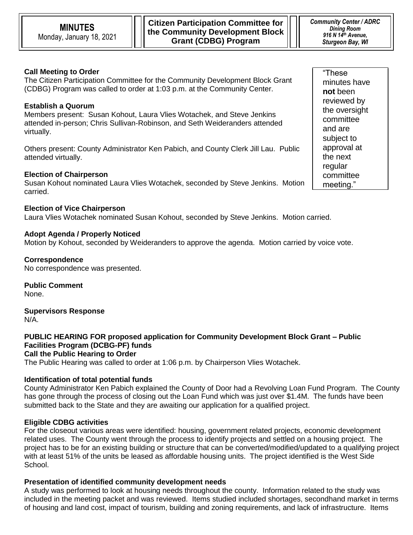**Citizen Participation Committee for the Community Development Block Grant (CDBG) Program**

# **Call Meeting to Order**

The Citizen Participation Committee for the Community Development Block Grant (CDBG) Program was called to order at 1:03 p.m. at the Community Center.

## **Establish a Quorum**

Members present: Susan Kohout, Laura Vlies Wotachek, and Steve Jenkins attended in-person; Chris Sullivan-Robinson, and Seth Weideranders attended virtually.

Others present: County Administrator Ken Pabich, and County Clerk Jill Lau. Public attended virtually.

#### **Election of Chairperson**

Susan Kohout nominated Laura Vlies Wotachek, seconded by Steve Jenkins. Motion carried.

#### **Election of Vice Chairperson**

Laura Vlies Wotachek nominated Susan Kohout, seconded by Steve Jenkins. Motion carried.

#### **Adopt Agenda / Properly Noticed**

Motion by Kohout, seconded by Weideranders to approve the agenda. Motion carried by voice vote.

**Correspondence**

No correspondence was presented.

**Public Comment** None.

**Supervisors Response** N/A.

**PUBLIC HEARING FOR proposed application for Community Development Block Grant – Public Facilities Program (DCBG-PF) funds Call the Public Hearing to Order**

The Public Hearing was called to order at 1:06 p.m. by Chairperson Vlies Wotachek.

#### **Identification of total potential funds**

County Administrator Ken Pabich explained the County of Door had a Revolving Loan Fund Program. The County has gone through the process of closing out the Loan Fund which was just over \$1.4M. The funds have been submitted back to the State and they are awaiting our application for a qualified project.

#### **Eligible CDBG activities**

For the closeout various areas were identified: housing, government related projects, economic development related uses. The County went through the process to identify projects and settled on a housing project. The project has to be for an existing building or structure that can be converted/modified/updated to a qualifying project with at least 51% of the units be leased as affordable housing units. The project identified is the West Side School.

## **Presentation of identified community development needs**

A study was performed to look at housing needs throughout the county. Information related to the study was included in the meeting packet and was reviewed. Items studied included shortages, secondhand market in terms of housing and land cost, impact of tourism, building and zoning requirements, and lack of infrastructure. Items

"These minutes have **not** been reviewed by the oversight committee and are subject to approval at the next regular committee meeting."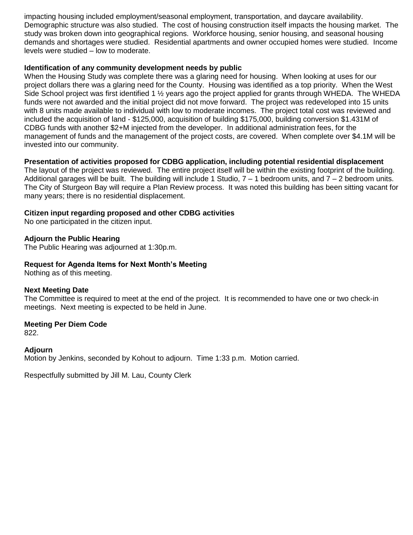impacting housing included employment/seasonal employment, transportation, and daycare availability. Demographic structure was also studied. The cost of housing construction itself impacts the housing market. The study was broken down into geographical regions. Workforce housing, senior housing, and seasonal housing demands and shortages were studied. Residential apartments and owner occupied homes were studied. Income levels were studied – low to moderate.

#### **Identification of any community development needs by public**

When the Housing Study was complete there was a glaring need for housing. When looking at uses for our project dollars there was a glaring need for the County. Housing was identified as a top priority. When the West Side School project was first identified 1 ½ years ago the project applied for grants through WHEDA. The WHEDA funds were not awarded and the initial project did not move forward. The project was redeveloped into 15 units with 8 units made available to individual with low to moderate incomes. The project total cost was reviewed and included the acquisition of land - \$125,000, acquisition of building \$175,000, building conversion \$1.431M of CDBG funds with another \$2+M injected from the developer. In additional administration fees, for the management of funds and the management of the project costs, are covered. When complete over \$4.1M will be invested into our community.

# **Presentation of activities proposed for CDBG application, including potential residential displacement**

The layout of the project was reviewed. The entire project itself will be within the existing footprint of the building. Additional garages will be built. The building will include 1 Studio,  $7 - 1$  bedroom units, and  $7 - 2$  bedroom units. The City of Sturgeon Bay will require a Plan Review process. It was noted this building has been sitting vacant for many years; there is no residential displacement.

## **Citizen input regarding proposed and other CDBG activities**

No one participated in the citizen input.

## **Adjourn the Public Hearing**

The Public Hearing was adjourned at 1:30p.m.

# **Request for Agenda Items for Next Month's Meeting**

Nothing as of this meeting.

## **Next Meeting Date**

The Committee is required to meet at the end of the project. It is recommended to have one or two check-in meetings. Next meeting is expected to be held in June.

## **Meeting Per Diem Code**

822.

## **Adjourn**

Motion by Jenkins, seconded by Kohout to adjourn. Time 1:33 p.m. Motion carried.

Respectfully submitted by Jill M. Lau, County Clerk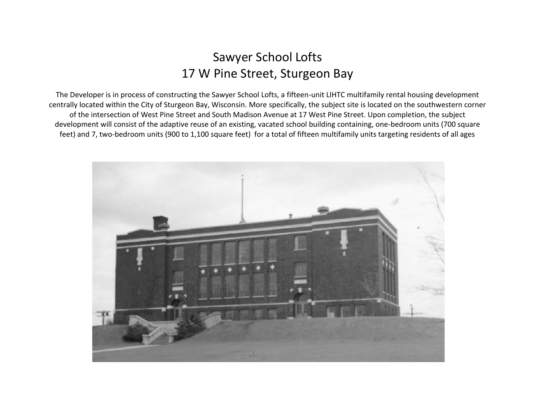# Sawyer School Lofts 17 W Pine Street, Sturgeon Bay

feet) and 7, two-bedroom units (900 to 1,100 square feet) for a total of fifteen multifamily units targeting residents of all ages The Developer is in process of constructing the Sawyer School Lofts, a fifteen-unit LIHTC multifamily rental housing development centrally located within the City of Sturgeon Bay, Wisconsin. More specifically, the subject site is located on the southwestern corner of the intersection of West Pine Street and South Madison Avenue at 17 West Pine Street. Upon completion, the subject development will consist of the adaptive reuse of an existing, vacated school building containing, one-bedroom units (700 square

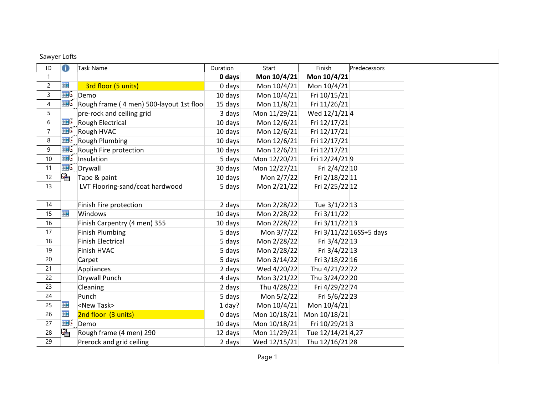| Sawyer Lofts   |            |                                                       |          |              |                   |                         |
|----------------|------------|-------------------------------------------------------|----------|--------------|-------------------|-------------------------|
| ID             | 0          | <b>Task Name</b>                                      | Duration | Start        | Finish            | Predecessors            |
| $\mathbf{1}$   |            |                                                       | 0 days   | Mon 10/4/21  | Mon 10/4/21       |                         |
| $\overline{c}$ | m          | 3rd floor (5 units)                                   | $0$ days | Mon 10/4/21  | Mon 10/4/21       |                         |
| $\overline{3}$ |            | <b>E</b> Demo                                         | 10 days  | Mon 10/4/21  | Fri 10/15/21      |                         |
| $\overline{4}$ |            | $\mathbb{H}$ Rough frame (4 men) 500-layout 1st floor | 15 days  | Mon 11/8/21  | Fri 11/26/21      |                         |
| 5              |            | pre-rock and ceiling grid                             | 3 days   | Mon 11/29/21 | Wed 12/1/214      |                         |
| 6              |            | <b>Rough Electrical</b>                               | 10 days  | Mon 12/6/21  | Fri 12/17/21      |                         |
| $\overline{7}$ |            | Rough HVAC                                            | 10 days  | Mon 12/6/21  | Fri 12/17/21      |                         |
| 8              |            | <b>TE</b> Rough Plumbing                              | 10 days  | Mon 12/6/21  | Fri 12/17/21      |                         |
| 9              |            | Rough Fire protection                                 | 10 days  | Mon 12/6/21  | Fri 12/17/21      |                         |
| 10             | <b>THE</b> | Insulation                                            | 5 days   | Mon 12/20/21 | Fri 12/24/219     |                         |
| 11             |            | <b>E</b> Drywall                                      | 30 days  | Mon 12/27/21 | Fri 2/4/22 10     |                         |
| 12             | ١ę,        | Tape & paint                                          | 10 days  | Mon 2/7/22   | Fri 2/18/22 11    |                         |
| 13             |            | LVT Flooring-sand/coat hardwood                       | 5 days   | Mon 2/21/22  | Fri 2/25/22 12    |                         |
| 14             |            | Finish Fire protection                                | 2 days   | Mon 2/28/22  | Tue 3/1/22 13     |                         |
| 15             | <b>THE</b> | Windows                                               | 10 days  | Mon 2/28/22  | Fri 3/11/22       |                         |
| 16             |            | Finish Carpentry (4 men) 355                          | 10 days  | Mon 2/28/22  | Fri 3/11/22 13    |                         |
| 17             |            | <b>Finish Plumbing</b>                                | 5 days   | Mon 3/7/22   |                   | Fri 3/11/22 16SS+5 days |
| 18             |            | <b>Finish Electrical</b>                              | 5 days   | Mon 2/28/22  | Fri 3/4/22 13     |                         |
| 19             |            | Finish HVAC                                           | 5 days   | Mon 2/28/22  | Fri 3/4/22 13     |                         |
| 20             |            | Carpet                                                | 5 days   | Mon 3/14/22  | Fri 3/18/22 16    |                         |
| 21             |            | Appliances                                            | 2 days   | Wed 4/20/22  | Thu 4/21/22 72    |                         |
| 22             |            | <b>Drywall Punch</b>                                  | 4 days   | Mon 3/21/22  | Thu 3/24/22 20    |                         |
| 23             |            | Cleaning                                              | 2 days   | Thu 4/28/22  | Fri 4/29/22 74    |                         |
| 24             |            | Punch                                                 | 5 days   | Mon 5/2/22   | Fri 5/6/22 23     |                         |
| 25             | 噩          | <new task=""></new>                                   | $1$ day? | Mon 10/4/21  | Mon 10/4/21       |                         |
| 26             | 亜          | 2nd floor (3 units)                                   | 0 days   | Mon 10/18/21 | Mon 10/18/21      |                         |
| 27             |            | <b>E</b> Demo                                         | 10 days  | Mon 10/18/21 | Fri 10/29/213     |                         |
| 28             | Ŀ.         | Rough frame (4 men) 290                               | 12 days  | Mon 11/29/21 | Tue 12/14/21 4,27 |                         |
| 29             |            | Prerock and grid ceiling                              | 2 days   | Wed 12/15/21 | Thu 12/16/21 28   |                         |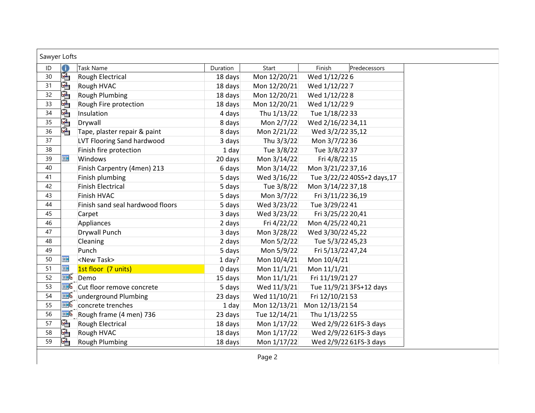| Sawyer Lofts |                         |                                                   |          |              |                        |                             |
|--------------|-------------------------|---------------------------------------------------|----------|--------------|------------------------|-----------------------------|
| ID           | 6                       | Task Name                                         | Duration | Start        | Finish                 | Predecessors                |
| 30           | 喎                       | Rough Electrical                                  | 18 days  | Mon 12/20/21 | Wed 1/12/226           |                             |
| 31           | ⊕                       | Rough HVAC                                        | 18 days  | Mon 12/20/21 | Wed 1/12/22 7          |                             |
| 32           | IQ,                     | Rough Plumbing                                    | 18 days  | Mon 12/20/21 | Wed 1/12/228           |                             |
| 33           | Ł                       | Rough Fire protection                             | 18 days  | Mon 12/20/21 | Wed 1/12/229           |                             |
| 34           | $\overline{\mathbf{r}}$ | Insulation                                        | 4 days   | Thu 1/13/22  | Tue 1/18/22 33         |                             |
| 35           | 硧                       | Drywall                                           | 8 days   | Mon 2/7/22   | Wed 2/16/22 34,11      |                             |
| 36           | L.                      | Tape, plaster repair & paint                      | 8 days   | Mon 2/21/22  | Wed 3/2/22 35,12       |                             |
| 37           |                         | <b>LVT Flooring Sand hardwood</b>                 | 3 days   | Thu 3/3/22   | Mon 3/7/2236           |                             |
| 38           |                         | Finish fire protection                            | $1$ day  | Tue 3/8/22   | Tue 3/8/22 37          |                             |
| 39           | 而                       | Windows                                           | 20 days  | Mon 3/14/22  | Fri 4/8/22 15          |                             |
| 40           |                         | Finish Carpentry (4men) 213                       | 6 days   | Mon 3/14/22  | Mon 3/21/22 37,16      |                             |
| 41           |                         | Finish plumbing                                   | 5 days   | Wed 3/16/22  |                        | Tue 3/22/22 40SS+2 days, 17 |
| 42           |                         | <b>Finish Electrical</b>                          | 5 days   | Tue 3/8/22   | Mon 3/14/22 37,18      |                             |
| 43           |                         | Finish HVAC                                       | 5 days   | Mon 3/7/22   | Fri 3/11/22 36,19      |                             |
| 44           |                         | Finish sand seal hardwood floors                  | 5 days   | Wed 3/23/22  | Tue 3/29/22 41         |                             |
| 45           |                         | Carpet                                            | 3 days   | Wed 3/23/22  | Fri 3/25/22 20,41      |                             |
| 46           |                         | Appliances                                        | 2 days   | Fri 4/22/22  | Mon 4/25/22 40,21      |                             |
| 47           |                         | <b>Drywall Punch</b>                              | 3 days   | Mon 3/28/22  | Wed 3/30/22 45,22      |                             |
| 48           |                         | Cleaning                                          | 2 days   | Mon 5/2/22   | Tue 5/3/22 45,23       |                             |
| 49           |                         | Punch                                             | 5 days   | Mon 5/9/22   | Fri 5/13/22 47,24      |                             |
| 50           | 噩                       | <new task=""></new>                               | $1$ day? | Mon 10/4/21  | Mon 10/4/21            |                             |
| 51           | 冊                       | 1st floor (7 units)                               | 0 days   | Mon 11/1/21  | Mon 11/1/21            |                             |
| 52           | <b>III</b>              | Demo                                              | 15 days  | Mon 11/1/21  | Fri 11/19/21 27        |                             |
| 53           |                         | Cut floor remove concrete                         | 5 days   | Wed 11/3/21  |                        | Tue 11/9/21 3FS+12 days     |
| 54           |                         | <b>TE</b> underground Plumbing                    | 23 days  | Wed 11/10/21 | Fri 12/10/21 53        |                             |
| 55           |                         | $\mathbb{H}^{\mathbb{C}}$ concrete trenches       | $1$ day  | Mon 12/13/21 | Mon 12/13/21 54        |                             |
| 56           |                         | $\mathbb{H}^{\mathbb{C}}$ Rough frame (4 men) 736 | 23 days  | Tue 12/14/21 | Thu 1/13/22 55         |                             |
| 57           | L.                      | <b>Rough Electrical</b>                           | 18 days  | Mon 1/17/22  | Wed 2/9/22 61FS-3 days |                             |
| 58           | q,                      | Rough HVAC                                        | 18 days  | Mon 1/17/22  | Wed 2/9/22 61FS-3 days |                             |
| 59           | ١Ģ,                     | Rough Plumbing                                    | 18 days  | Mon 1/17/22  | Wed 2/9/22 61FS-3 days |                             |